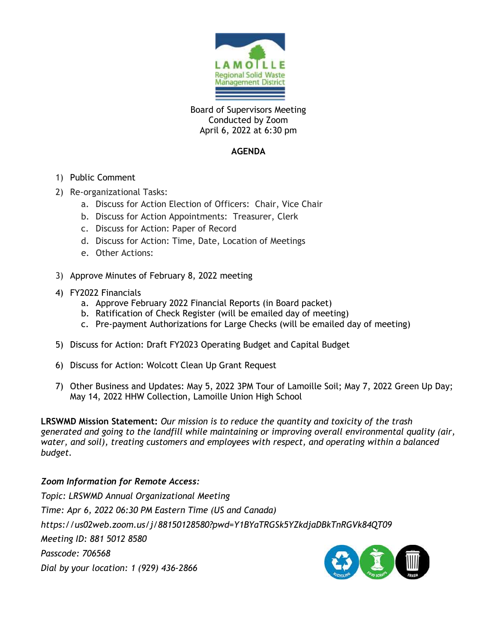

Board of Supervisors Meeting Conducted by Zoom April 6, 2022 at 6:30 pm

#### **AGENDA**

- 1) Public Comment
- 2) Re-organizational Tasks:
	- a. Discuss for Action Election of Officers: Chair, Vice Chair
	- b. Discuss for Action Appointments: Treasurer, Clerk
	- c. Discuss for Action: Paper of Record
	- d. Discuss for Action: Time, Date, Location of Meetings
	- e. Other Actions:
- 3) Approve Minutes of February 8, 2022 meeting
- 4) FY2022 Financials
	- a. Approve February 2022 Financial Reports (in Board packet)
	- b. Ratification of Check Register (will be emailed day of meeting)
	- c. Pre-payment Authorizations for Large Checks (will be emailed day of meeting)
- 5) Discuss for Action: Draft FY2023 Operating Budget and Capital Budget
- 6) Discuss for Action: Wolcott Clean Up Grant Request
- 7) Other Business and Updates: May 5, 2022 3PM Tour of Lamoille Soil; May 7, 2022 Green Up Day; May 14, 2022 HHW Collection, Lamoille Union High School

**LRSWMD Mission Statement:** *Our mission is to reduce the quantity and toxicity of the trash generated and going to the landfill while maintaining or improving overall environmental quality (air, water, and soil), treating customers and employees with respect, and operating within a balanced budget.*

#### *Zoom Information for Remote Access:*

*Topic: LRSWMD Annual Organizational Meeting Time: Apr 6, 2022 06:30 PM Eastern Time (US and Canada) https://us02web.zoom.us/j/88150128580?pwd=Y1BYaTRGSk5YZkdjaDBkTnRGVk84QT09 Meeting ID: 881 5012 8580 Passcode: 706568 Dial by your location: 1 (929) 436-2866* 

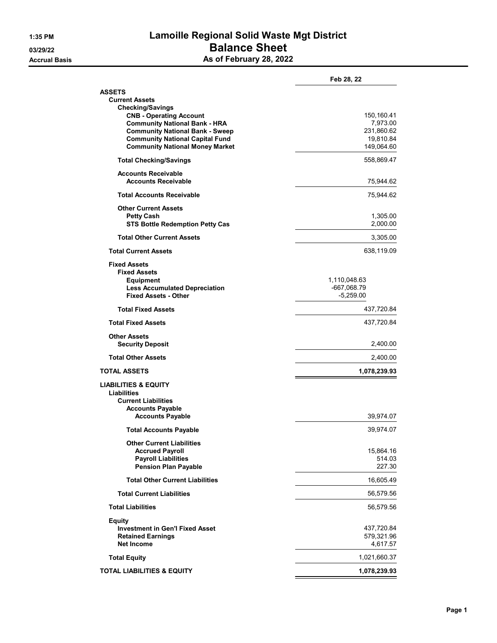# **1:35 PM Lamoille Regional Solid Waste Mgt District 03/29/22 Balance Sheet Accrual Basis As of February 28, 2022**

| Feb 28, 22             |
|------------------------|
|                        |
|                        |
|                        |
| 150,160.41<br>7,973.00 |
| 231,860.62             |
| 19,810.84              |
| 149,064.60             |
| 558,869.47             |
|                        |
| 75,944.62              |
| 75,944.62              |
|                        |
| 1,305.00               |
| 2,000.00               |
| 3,305.00               |
| 638,119.09             |
|                        |
| 1,110,048.63           |
| -667,068.79            |
| $-5,259.00$            |
| 437,720.84             |
| 437,720.84             |
|                        |
| 2,400.00               |
| 2,400.00               |
| 1,078,239.93           |
|                        |
|                        |
|                        |
| 39,974.07              |
|                        |
| 39,974.07              |
|                        |
| 15,864.16              |
| 514.03<br>227.30       |
|                        |
| 16,605.49              |
| 56,579.56              |
| 56,579.56              |
|                        |
| 437,720.84             |
| 579,321.96<br>4,617.57 |
|                        |
| 1,021,660.37           |
| 1,078,239.93           |
|                        |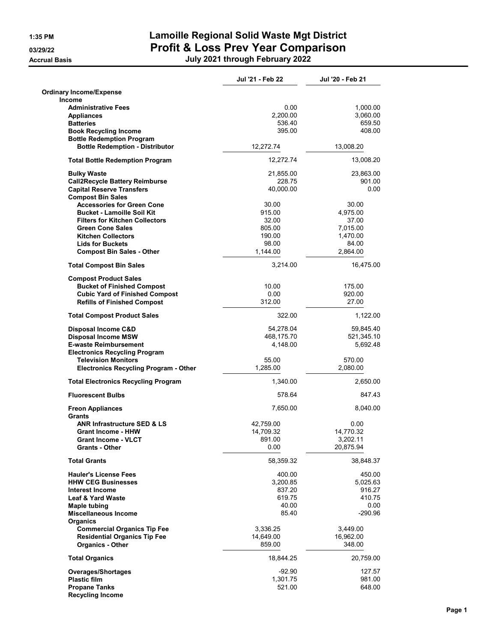**Accrual Basis** 

# **1:35 PM Lamoille Regional Solid Waste Mgt District 03/29/22 Profit & Loss Prev Year Comparison**

| July 2021 through February 2022 |  |
|---------------------------------|--|
|---------------------------------|--|

|                                                 | Jul '21 - Feb 22 | Jul '20 - Feb 21 |
|-------------------------------------------------|------------------|------------------|
| <b>Ordinary Income/Expense</b><br><b>Income</b> |                  |                  |
| <b>Administrative Fees</b>                      | 0.00             | 1,000.00         |
| <b>Appliances</b>                               | 2,200.00         | 3,060.00         |
| <b>Batteries</b>                                | 536.40           | 659.50           |
| <b>Book Recycling Income</b>                    | 395.00           | 408.00           |
| <b>Bottle Redemption Program</b>                |                  |                  |
| <b>Bottle Redemption - Distributor</b>          | 12,272.74        | 13,008.20        |
| <b>Total Bottle Redemption Program</b>          | 12,272.74        | 13,008.20        |
| <b>Bulky Waste</b>                              | 21,855.00        | 23,863.00        |
| <b>Call2Recycle Battery Reimburse</b>           | 228.75           | 901.00           |
| <b>Capital Reserve Transfers</b>                | 40,000.00        | 0.00             |
| <b>Compost Bin Sales</b>                        |                  |                  |
| <b>Accessories for Green Cone</b>               | 30.00            | 30.00            |
| <b>Bucket - Lamoille Soil Kit</b>               | 915.00           | 4,975.00         |
| <b>Filters for Kitchen Collectors</b>           | 32.00            | 37.00            |
| <b>Green Cone Sales</b>                         | 805.00           | 7,015.00         |
| <b>Kitchen Collectors</b>                       | 190.00           | 1,470.00         |
| <b>Lids for Buckets</b>                         | 98.00            | 84.00            |
| <b>Compost Bin Sales - Other</b>                | 1,144.00         | 2,864.00         |
| <b>Total Compost Bin Sales</b>                  | 3,214.00         | 16,475.00        |
| <b>Compost Product Sales</b>                    |                  |                  |
| <b>Bucket of Finished Compost</b>               | 10.00            | 175.00           |
| <b>Cubic Yard of Finished Compost</b>           | 0.00             | 920.00           |
| <b>Refills of Finished Compost</b>              | 312.00           | 27.00            |
| <b>Total Compost Product Sales</b>              | 322.00           | 1,122.00         |
| Disposal Income C&D                             | 54,278.04        | 59,845.40        |
| <b>Disposal Income MSW</b>                      | 468,175.70       | 521,345.10       |
| <b>E-waste Reimbursement</b>                    | 4,148.00         | 5,692.48         |
| <b>Electronics Recycling Program</b>            |                  |                  |
| <b>Television Monitors</b>                      | 55.00            | 570.00           |
| <b>Electronics Recycling Program - Other</b>    | 1,285.00         | 2,080.00         |
| <b>Total Electronics Recycling Program</b>      | 1,340.00         | 2,650.00         |
| <b>Fluorescent Bulbs</b>                        | 578.64           | 847.43           |
| <b>Freon Appliances</b><br><b>Grants</b>        | 7,650.00         | 8,040.00         |
| ANR Infrastructure SED & LS                     | 42,759.00        | 0.00             |
| <b>Grant Income - HHW</b>                       | 14,709.32        | 14,770.32        |
| <b>Grant Income - VLCT</b>                      | 891.00           | 3,202.11         |
| <b>Grants - Other</b>                           | 0.00             | 20,875.94        |
| <b>Total Grants</b>                             | 58,359.32        | 38,848.37        |
| <b>Hauler's License Fees</b>                    | 400.00           | 450.00           |
| <b>HHW CEG Businesses</b>                       | 3,200.85         | 5,025.63         |
| <b>Interest Income</b>                          | 837.20           | 916.27           |
| <b>Leaf &amp; Yard Waste</b>                    | 619.75           | 410.75           |
| Maple tubing                                    | 40.00            | 0.00             |
| <b>Miscellaneous Income</b>                     | 85.40            | -290.96          |
| <b>Organics</b>                                 |                  |                  |
| <b>Commercial Organics Tip Fee</b>              | 3,336.25         | 3,449.00         |
| <b>Residential Organics Tip Fee</b>             | 14,649.00        | 16,962.00        |
| <b>Organics - Other</b>                         | 859.00           | 348.00           |
| <b>Total Organics</b>                           | 18,844.25        | 20,759.00        |
| <b>Overages/Shortages</b>                       | -92.90           | 127.57           |
| <b>Plastic film</b>                             | 1,301.75         | 981.00           |
| <b>Propane Tanks</b>                            | 521.00           | 648.00           |
| <b>Recycling Income</b>                         |                  |                  |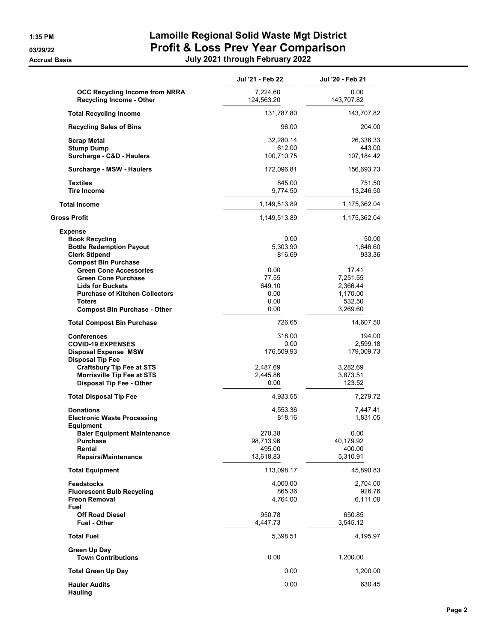| July 2021 through February 2022 |  |  |  |
|---------------------------------|--|--|--|
|---------------------------------|--|--|--|

|                                                                                                                                                                                                                                                                      | Jul '21 - Feb 22                                              | Jul '20 - Feb 21                                                         |
|----------------------------------------------------------------------------------------------------------------------------------------------------------------------------------------------------------------------------------------------------------------------|---------------------------------------------------------------|--------------------------------------------------------------------------|
| OCC Recycling Income from NRRA<br><b>Recycling Income - Other</b>                                                                                                                                                                                                    | 7,224.60<br>124,563.20                                        | 0.00<br>143,707.82                                                       |
| <b>Total Recycling Income</b>                                                                                                                                                                                                                                        | 131,787.80                                                    | 143,707.82                                                               |
| <b>Recycling Sales of Bins</b>                                                                                                                                                                                                                                       | 96.00                                                         | 204.00                                                                   |
| Scrap Metal<br><b>Stump Dump</b><br>Surcharge - C&D - Haulers                                                                                                                                                                                                        | 32,280.14<br>612.00<br>100,710.75                             | 26,338.33<br>443.00<br>107,184.42                                        |
| Surcharge - MSW - Haulers                                                                                                                                                                                                                                            | 172,096.81                                                    | 156,693.73                                                               |
| <b>Textiles</b><br><b>Tire Income</b>                                                                                                                                                                                                                                | 845.00<br>9,774.50                                            | 751.50<br>13,246.50                                                      |
| <b>Total Income</b>                                                                                                                                                                                                                                                  | 1,149,513.89                                                  | 1,175,362.04                                                             |
| <b>Gross Profit</b>                                                                                                                                                                                                                                                  | 1,149,513.89                                                  | 1,175,362.04                                                             |
| <b>Expense</b><br><b>Book Recycling</b><br><b>Bottle Redemption Payout</b><br><b>Clerk Stipend</b><br><b>Compost Bin Purchase</b><br><b>Green Cone Accessories</b><br><b>Green Cone Purchase</b><br><b>Lids for Buckets</b><br><b>Purchase of Kitchen Collectors</b> | 0.00<br>5,303.90<br>816.69<br>0.00<br>77.55<br>649.10<br>0.00 | 50.00<br>1,646.60<br>933.36<br>17.41<br>7,251.55<br>2,366.44<br>1,170.00 |
| <b>Toters</b><br><b>Compost Bin Purchase - Other</b>                                                                                                                                                                                                                 | 0.00<br>0.00                                                  | 532.50<br>3,269.60                                                       |
| <b>Total Compost Bin Purchase</b>                                                                                                                                                                                                                                    | 726.65                                                        | 14,607.50                                                                |
| <b>Conferences</b><br><b>COVID-19 EXPENSES</b><br><b>Disposal Expense MSW</b><br><b>Disposal Tip Fee</b><br><b>Craftsbury Tip Fee at STS</b><br><b>Morrisville Tip Fee at STS</b><br><b>Disposal Tip Fee - Other</b>                                                 | 318.00<br>0.00<br>176,509.93<br>2,487.69<br>2,445.86<br>0.00  | 194.00<br>2,599.18<br>179,009.73<br>3,282.69<br>3,873.51<br>123.52       |
| <b>Total Disposal Tip Fee</b>                                                                                                                                                                                                                                        | 4,933.55                                                      | 7,279.72                                                                 |
| <b>Donations</b><br><b>Electronic Waste Processing</b><br>Equipment<br><b>Baler Equipment Maintenance</b>                                                                                                                                                            | 4,553.36<br>818.16<br>270.38                                  | 7,447.41<br>1,831.05<br>0.00                                             |
| Purchase<br>Rental<br><b>Repairs/Maintenance</b>                                                                                                                                                                                                                     | 98,713.96<br>495.00<br>13,618.83                              | 40,179.92<br>400.00<br>5,310.91                                          |
| <b>Total Equipment</b>                                                                                                                                                                                                                                               | 113,098.17                                                    | 45,890.83                                                                |
| <b>Feedstocks</b><br><b>Fluorescent Bulb Recycling</b><br><b>Freon Removal</b><br>Fuel<br><b>Off Road Diesel</b><br><b>Fuel - Other</b>                                                                                                                              | 4,000.00<br>865.36<br>4,764.00<br>950.78<br>4,447.73          | 2,704.00<br>926.76<br>6,111.00<br>650.85<br>3,545.12                     |
| <b>Total Fuel</b>                                                                                                                                                                                                                                                    | 5,398.51                                                      | 4,195.97                                                                 |
| Green Up Day<br><b>Town Contributions</b>                                                                                                                                                                                                                            | 0.00                                                          | 1,200.00                                                                 |
| <b>Total Green Up Day</b>                                                                                                                                                                                                                                            | 0.00                                                          | 1,200.00                                                                 |
| <b>Hauler Audits</b><br><b>Hauling</b>                                                                                                                                                                                                                               | 0.00                                                          | 630.45                                                                   |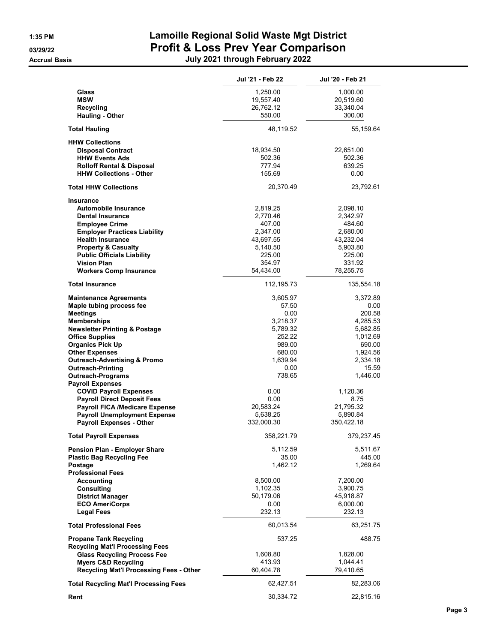|                                                                     | Jul '21 - Feb 22   | Jul '20 - Feb 21      |
|---------------------------------------------------------------------|--------------------|-----------------------|
| Glass                                                               | 1,250.00           | 1,000.00              |
| <b>MSW</b>                                                          | 19,557.40          | 20,519.60             |
| Recycling                                                           | 26,762.12          | 33,340.04             |
| <b>Hauling - Other</b>                                              | 550.00             | 300.00                |
| <b>Total Hauling</b>                                                | 48,119.52          | 55,159.64             |
| <b>HHW Collections</b>                                              |                    |                       |
| <b>Disposal Contract</b>                                            | 18,934.50          | 22,651.00             |
| <b>HHW Events Ads</b>                                               | 502.36             | 502.36                |
| <b>Rolloff Rental &amp; Disposal</b>                                | 777.94             | 639.25                |
| <b>HHW Collections - Other</b>                                      | 155.69             | 0.00                  |
| <b>Total HHW Collections</b>                                        | 20,370.49          | 23,792.61             |
| Insurance                                                           |                    |                       |
| <b>Automobile Insurance</b>                                         | 2,819.25           | 2,098.10              |
| <b>Dental Insurance</b>                                             | 2,770.46           | 2,342.97              |
| <b>Employee Crime</b>                                               | 407.00             | 484.60                |
| <b>Employer Practices Liability</b>                                 | 2,347.00           | 2.680.00              |
| <b>Health Insurance</b>                                             | 43,697.55          | 43,232.04<br>5,903.80 |
| <b>Property &amp; Casualty</b><br><b>Public Officials Liability</b> | 5,140.50<br>225.00 | 225.00                |
| <b>Vision Plan</b>                                                  | 354.97             | 331.92                |
| <b>Workers Comp Insurance</b>                                       | 54,434.00          | 78,255.75             |
| <b>Total Insurance</b>                                              | 112, 195.73        | 135,554.18            |
| <b>Maintenance Agreements</b>                                       | 3,605.97           | 3,372.89              |
| Maple tubing process fee                                            | 57.50              | 0.00                  |
| Meetings                                                            | 0.00               | 200.58                |
| <b>Memberships</b>                                                  | 3,218.37           | 4,285.53              |
| <b>Newsletter Printing &amp; Postage</b>                            | 5,789.32           | 5,682.85              |
| <b>Office Supplies</b>                                              | 252.22             | 1,012.69              |
| <b>Organics Pick Up</b>                                             | 989.00             | 690.00                |
| <b>Other Expenses</b>                                               | 680.00             | 1,924.56              |
| <b>Outreach-Advertising &amp; Promo</b>                             | 1,639.94           | 2,334.18              |
| <b>Outreach-Printing</b>                                            | 0.00               | 15.59                 |
| <b>Outreach-Programs</b>                                            | 738.65             | 1,446.00              |
| <b>Payroll Expenses</b>                                             |                    |                       |
| <b>COVID Payroll Expenses</b>                                       | 0.00               | 1,120.36              |
| <b>Payroll Direct Deposit Fees</b>                                  | 0.00               | 8.75                  |
| <b>Payroll FICA /Medicare Expense</b>                               | 20,583.24          | 21,795.32             |
| <b>Payroll Unemployment Expense</b>                                 | 5,638.25           | 5,890.84              |
| <b>Payroll Expenses - Other</b>                                     | 332,000.30         | 350,422.18            |
| <b>Total Payroll Expenses</b>                                       | 358,221.79         | 379,237.45            |
| Pension Plan - Employer Share                                       | 5,112.59           | 5,511.67              |
| <b>Plastic Bag Recycling Fee</b>                                    | 35.00              | 445.00                |
| Postage<br><b>Professional Fees</b>                                 | 1,462.12           | 1,269.64              |
| Accounting                                                          | 8,500.00           | 7,200.00              |
| <b>Consulting</b>                                                   | 1,102.35           | 3,900.75              |
| <b>District Manager</b>                                             | 50,179.06          | 45,918.87             |
| <b>ECO AmeriCorps</b>                                               | 0.00               | 6,000.00              |
| <b>Legal Fees</b>                                                   | 232.13             | 232.13                |
| <b>Total Professional Fees</b>                                      | 60,013.54          | 63,251.75             |
| <b>Propane Tank Recycling</b>                                       | 537.25             | 488.75                |
| <b>Recycling Mat'l Processing Fees</b>                              |                    |                       |
| <b>Glass Recycling Process Fee</b>                                  | 1,608.80           | 1,828.00              |
| <b>Myers C&amp;D Recycling</b>                                      | 413.93             | 1,044.41              |
| Recycling Mat'l Processing Fees - Other                             | 60,404.78          | 79,410.65             |
| <b>Total Recycling Mat'l Processing Fees</b>                        | 62,427.51          | 82,283.06             |
| Rent                                                                | 30,334.72          | 22,815.16             |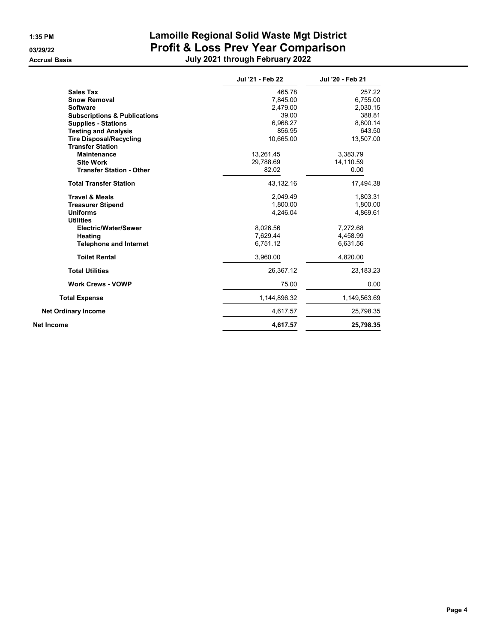|                                         | Jul '21 - Feb 22 | Jul '20 - Feb 21 |
|-----------------------------------------|------------------|------------------|
| <b>Sales Tax</b>                        | 465.78           | 257.22           |
| <b>Snow Removal</b>                     | 7,845.00         | 6,755.00         |
| <b>Software</b>                         | 2.479.00         | 2,030.15         |
| <b>Subscriptions &amp; Publications</b> | 39.00            | 388.81           |
| <b>Supplies - Stations</b>              | 6,968.27         | 8,800.14         |
| <b>Testing and Analysis</b>             | 856.95           | 643.50           |
| <b>Tire Disposal/Recycling</b>          | 10,665.00        | 13,507.00        |
| <b>Transfer Station</b>                 |                  |                  |
| <b>Maintenance</b>                      | 13,261.45        | 3,383.79         |
| <b>Site Work</b>                        | 29,788.69        | 14,110.59        |
| <b>Transfer Station - Other</b>         | 82.02            | 0.00             |
| <b>Total Transfer Station</b>           | 43,132.16        | 17,494.38        |
| <b>Travel &amp; Meals</b>               | 2,049.49         | 1,803.31         |
| <b>Treasurer Stipend</b>                | 1,800.00         | 1,800.00         |
| <b>Uniforms</b>                         | 4,246.04         | 4,869.61         |
| <b>Utilities</b>                        |                  |                  |
| Electric/Water/Sewer                    | 8,026.56         | 7,272.68         |
| Heating                                 | 7,629.44         | 4,458.99         |
| <b>Telephone and Internet</b>           | 6,751.12         | 6,631.56         |
| <b>Toilet Rental</b>                    | 3,960.00         | 4,820.00         |
| <b>Total Utilities</b>                  | 26,367.12        | 23,183.23        |
| <b>Work Crews - VOWP</b>                | 75.00            | 0.00             |
| <b>Total Expense</b>                    | 1,144,896.32     | 1,149,563.69     |
| <b>Net Ordinary Income</b>              | 4,617.57         | 25,798.35        |
| <b>Net Income</b>                       | 4,617.57         | 25,798.35        |
|                                         |                  |                  |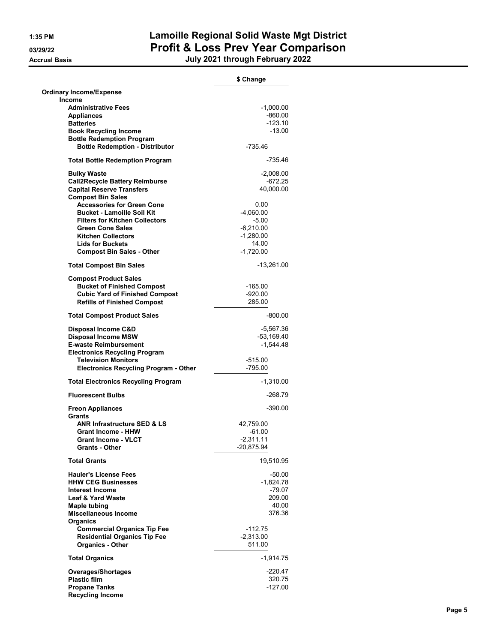|                                                                  | \$ Change             |
|------------------------------------------------------------------|-----------------------|
| <b>Ordinary Income/Expense</b>                                   |                       |
| Income                                                           |                       |
| <b>Administrative Fees</b>                                       | $-1,000.00$           |
| <b>Appliances</b>                                                | -860.00               |
| <b>Batteries</b>                                                 | -123.10               |
| <b>Book Recycling Income</b><br><b>Bottle Redemption Program</b> | $-13.00$              |
| <b>Bottle Redemption - Distributor</b>                           | $-735.46$             |
| <b>Total Bottle Redemption Program</b>                           | -735.46               |
| <b>Bulky Waste</b>                                               | $-2,008.00$           |
| <b>Call2Recycle Battery Reimburse</b>                            | -672.25               |
| <b>Capital Reserve Transfers</b>                                 | 40,000.00             |
| <b>Compost Bin Sales</b>                                         |                       |
| <b>Accessories for Green Cone</b>                                | 0.00                  |
| <b>Bucket - Lamoille Soil Kit</b>                                | $-4,060.00$           |
| <b>Filters for Kitchen Collectors</b>                            | $-5.00$               |
| <b>Green Cone Sales</b>                                          | $-6,210.00$           |
| <b>Kitchen Collectors</b>                                        | $-1.280.00$           |
| <b>Lids for Buckets</b>                                          | 14.00                 |
| <b>Compost Bin Sales - Other</b>                                 | $-1,720.00$           |
| <b>Total Compost Bin Sales</b>                                   | -13,261.00            |
| <b>Compost Product Sales</b>                                     |                       |
| <b>Bucket of Finished Compost</b>                                | -165.00               |
| <b>Cubic Yard of Finished Compost</b>                            | $-920.00$             |
| <b>Refills of Finished Compost</b>                               | 285.00                |
| <b>Total Compost Product Sales</b>                               | -800.00               |
| Disposal Income C&D                                              | -5,567.36             |
| <b>Disposal Income MSW</b>                                       | $-53,169.40$          |
| <b>E-waste Reimbursement</b>                                     | $-1,544.48$           |
| <b>Electronics Recycling Program</b>                             |                       |
| <b>Television Monitors</b>                                       | $-515.00$             |
| <b>Electronics Recycling Program - Other</b>                     | $-795.00$             |
| <b>Total Electronics Recycling Program</b>                       | -1,310.00             |
| <b>Fluorescent Bulbs</b>                                         | -268.79               |
| <b>Freon Appliances</b><br>Grants                                | $-390.00$             |
| ANR Infrastructure SED & LS                                      | 42.759.00             |
| <b>Grant Income - HHW</b>                                        | $-61.00$              |
| <b>Grant Income - VLCT</b>                                       | -2,311.11             |
| <b>Grants - Other</b>                                            | -20,875.94            |
| <b>Total Grants</b>                                              | 19,510.95             |
| <b>Hauler's License Fees</b>                                     | -50.00                |
| <b>HHW CEG Businesses</b>                                        | $-1,824.78$           |
| <b>Interest Income</b>                                           | $-79.07$              |
| <b>Leaf &amp; Yard Waste</b>                                     | 209.00                |
| Maple tubing                                                     | 40.00                 |
| <b>Miscellaneous Income</b>                                      | 376.36                |
| <b>Organics</b>                                                  |                       |
| <b>Commercial Organics Tip Fee</b>                               | -112.75               |
| <b>Residential Organics Tip Fee</b><br><b>Organics - Other</b>   | $-2,313.00$<br>511.00 |
| <b>Total Organics</b>                                            | -1,914.75             |
| <b>Overages/Shortages</b>                                        | $-220.47$             |
| <b>Plastic film</b>                                              | 320.75                |
| <b>Propane Tanks</b>                                             | -127.00               |
| <b>Recycling Income</b>                                          |                       |
|                                                                  |                       |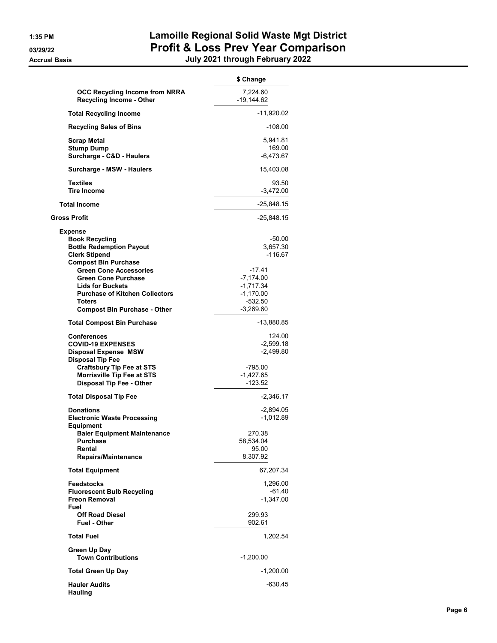|                                                                                                                                                                                                                             | \$ Change                                                                   |
|-----------------------------------------------------------------------------------------------------------------------------------------------------------------------------------------------------------------------------|-----------------------------------------------------------------------------|
| <b>OCC Recycling Income from NRRA</b><br><b>Recycling Income - Other</b>                                                                                                                                                    | 7,224.60<br>$-19,144.62$                                                    |
| <b>Total Recycling Income</b>                                                                                                                                                                                               | -11,920.02                                                                  |
| <b>Recycling Sales of Bins</b>                                                                                                                                                                                              | -108.00                                                                     |
| <b>Scrap Metal</b><br><b>Stump Dump</b><br>Surcharge - C&D - Haulers                                                                                                                                                        | 5,941.81<br>169.00<br>$-6,473.67$                                           |
| Surcharge - MSW - Haulers                                                                                                                                                                                                   | 15,403.08                                                                   |
| Textiles<br><b>Tire Income</b>                                                                                                                                                                                              | 93.50<br>$-3,472.00$                                                        |
| <b>Total Income</b>                                                                                                                                                                                                         | -25,848.15                                                                  |
| <b>Gross Profit</b>                                                                                                                                                                                                         | -25,848.15                                                                  |
| <b>Expense</b><br><b>Book Recycling</b><br><b>Bottle Redemption Payout</b><br><b>Clerk Stipend</b><br><b>Compost Bin Purchase</b><br><b>Green Cone Accessories</b><br><b>Green Cone Purchase</b><br><b>Lids for Buckets</b> | -50.00<br>3,657.30<br>$-116.67$<br>$-17.41$<br>$-7.174.00$<br>$-1,717.34$   |
| <b>Purchase of Kitchen Collectors</b><br><b>Toters</b><br><b>Compost Bin Purchase - Other</b>                                                                                                                               | $-1,170.00$<br>$-532.50$<br>$-3,269.60$                                     |
| <b>Total Compost Bin Purchase</b>                                                                                                                                                                                           | -13,880.85                                                                  |
| Conferences<br><b>COVID-19 EXPENSES</b><br><b>Disposal Expense MSW</b><br><b>Disposal Tip Fee</b><br>Craftsbury Tip Fee at STS<br><b>Morrisville Tip Fee at STS</b><br><b>Disposal Tip Fee - Other</b>                      | 124.00<br>$-2,599.18$<br>$-2,499.80$<br>-795.00<br>$-1,427.65$<br>$-123.52$ |
| <b>Total Disposal Tip Fee</b>                                                                                                                                                                                               | $-2,346.17$                                                                 |
| <b>Donations</b><br><b>Electronic Waste Processing</b><br><b>Equipment</b><br><b>Baler Equipment Maintenance</b><br><b>Purchase</b><br>Rental                                                                               | $-2,894.05$<br>-1,012.89<br>270.38<br>58,534.04<br>95.00<br>8,307.92        |
| Repairs/Maintenance                                                                                                                                                                                                         |                                                                             |
| <b>Total Equipment</b>                                                                                                                                                                                                      | 67,207.34                                                                   |
| <b>Feedstocks</b><br><b>Fluorescent Bulb Recycling</b><br><b>Freon Removal</b><br>Fuel                                                                                                                                      | 1,296.00<br>-61.40<br>$-1,347.00$                                           |
| <b>Off Road Diesel</b><br><b>Fuel - Other</b>                                                                                                                                                                               | 299.93<br>902.61                                                            |
| <b>Total Fuel</b>                                                                                                                                                                                                           | 1,202.54                                                                    |
| Green Up Day<br><b>Town Contributions</b>                                                                                                                                                                                   | -1,200.00                                                                   |
| <b>Total Green Up Day</b>                                                                                                                                                                                                   | $-1,200.00$                                                                 |
| <b>Hauler Audits</b><br><b>Hauling</b>                                                                                                                                                                                      | -630.45                                                                     |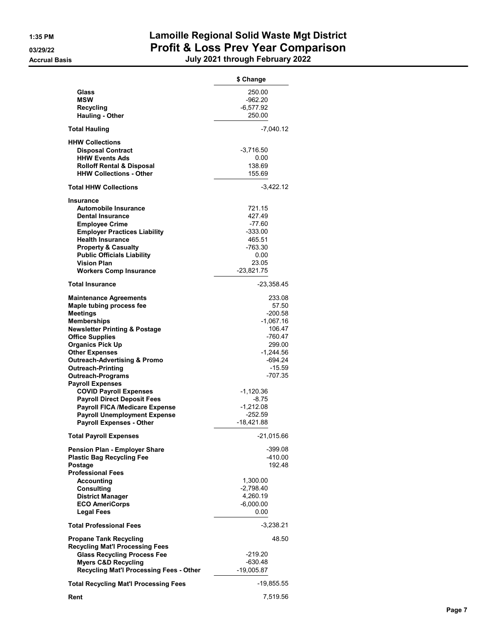|                                                                         | \$ Change            |
|-------------------------------------------------------------------------|----------------------|
| Glass<br><b>MSW</b>                                                     | 250.00<br>$-962.20$  |
| <b>Recycling</b>                                                        | -6,577.92            |
| <b>Hauling - Other</b>                                                  | 250.00               |
| <b>Total Hauling</b>                                                    | -7,040.12            |
| <b>HHW Collections</b>                                                  |                      |
| <b>Disposal Contract</b><br><b>HHW Events Ads</b>                       | $-3,716.50$          |
| <b>Rolloff Rental &amp; Disposal</b>                                    | 0.00<br>138.69       |
| <b>HHW Collections - Other</b>                                          | 155.69               |
| <b>Total HHW Collections</b>                                            | $-3,422.12$          |
| <b>Insurance</b>                                                        |                      |
| Automobile Insurance                                                    | 721.15               |
| <b>Dental Insurance</b>                                                 | 427.49               |
| <b>Employee Crime</b>                                                   | -77.60               |
| <b>Employer Practices Liability</b>                                     | $-333.00$            |
| <b>Health Insurance</b><br><b>Property &amp; Casualty</b>               | 465.51<br>-763.30    |
| <b>Public Officials Liability</b>                                       | 0.00                 |
| <b>Vision Plan</b>                                                      | 23.05                |
| <b>Workers Comp Insurance</b>                                           | $-23,821.75$         |
| Total Insurance                                                         | -23,358.45           |
| <b>Maintenance Agreements</b>                                           | 233.08               |
| Maple tubing process fee                                                | 57.50                |
| <b>Meetings</b>                                                         | $-200.58$            |
| Memberships                                                             | $-1,067.16$          |
| <b>Newsletter Printing &amp; Postage</b>                                | 106.47               |
| <b>Office Supplies</b>                                                  | -760.47              |
| <b>Organics Pick Up</b>                                                 | 299.00               |
| <b>Other Expenses</b><br><b>Outreach-Advertising &amp; Promo</b>        | -1,244.56<br>-694.24 |
| <b>Outreach-Printing</b>                                                | -15.59               |
| <b>Outreach-Programs</b>                                                | -707.35              |
| <b>Payroll Expenses</b>                                                 |                      |
| <b>COVID Payroll Expenses</b>                                           | -1,120.36            |
| <b>Payroll Direct Deposit Fees</b>                                      | -8.75                |
| <b>Payroll FICA /Medicare Expense</b>                                   | $-1,212.08$          |
| <b>Payroll Unemployment Expense</b>                                     | $-252.59$            |
| <b>Payroll Expenses - Other</b>                                         | -18,421.88           |
| <b>Total Payroll Expenses</b>                                           | $-21,015.66$         |
| <b>Pension Plan - Employer Share</b>                                    | -399.08              |
| <b>Plastic Bag Recycling Fee</b>                                        | -410.00              |
| Postage                                                                 | 192.48               |
| <b>Professional Fees</b>                                                |                      |
| Accounting                                                              | 1,300.00             |
| <b>Consulting</b>                                                       | $-2,798.40$          |
| <b>District Manager</b>                                                 | 4,260.19             |
| <b>ECO AmeriCorps</b>                                                   | $-6,000.00$          |
| <b>Legal Fees</b>                                                       | 0.00                 |
| <b>Total Professional Fees</b>                                          | -3,238.21            |
| <b>Propane Tank Recycling</b><br><b>Recycling Mat'l Processing Fees</b> | 48.50                |
| <b>Glass Recycling Process Fee</b>                                      | -219.20              |
| <b>Myers C&amp;D Recycling</b>                                          | -630.48              |
| Recycling Mat'l Processing Fees - Other                                 | $-19,005.87$         |
| <b>Total Recycling Mat'l Processing Fees</b>                            | -19,855.55           |
| Rent                                                                    | 7,519.56             |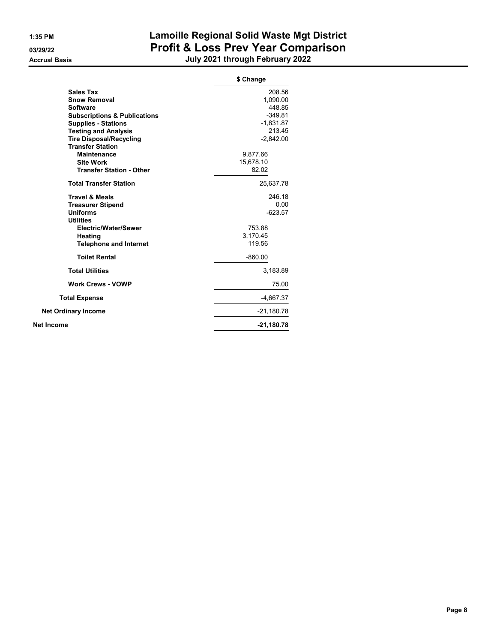|                                         | \$ Change    |
|-----------------------------------------|--------------|
| <b>Sales Tax</b>                        | 208.56       |
| <b>Snow Removal</b>                     | 1,090.00     |
| <b>Software</b>                         | 448.85       |
| <b>Subscriptions &amp; Publications</b> | $-349.81$    |
| <b>Supplies - Stations</b>              | $-1,831.87$  |
| <b>Testing and Analysis</b>             | 213.45       |
| <b>Tire Disposal/Recycling</b>          | $-2,842.00$  |
| <b>Transfer Station</b>                 |              |
| <b>Maintenance</b>                      | 9,877.66     |
| <b>Site Work</b>                        | 15,678.10    |
| <b>Transfer Station - Other</b>         | 82.02        |
| <b>Total Transfer Station</b>           | 25,637.78    |
| <b>Travel &amp; Meals</b>               | 246.18       |
| <b>Treasurer Stipend</b>                | 0.00         |
| <b>Uniforms</b>                         | $-623.57$    |
| <b>Utilities</b>                        |              |
| Electric/Water/Sewer                    | 753.88       |
| Heating                                 | 3,170.45     |
| <b>Telephone and Internet</b>           | 119.56       |
| <b>Toilet Rental</b>                    | $-860.00$    |
| <b>Total Utilities</b>                  | 3,183.89     |
| <b>Work Crews - VOWP</b>                | 75.00        |
| <b>Total Expense</b>                    | $-4,667.37$  |
| <b>Net Ordinary Income</b>              | -21,180.78   |
| Net Income                              | $-21,180.78$ |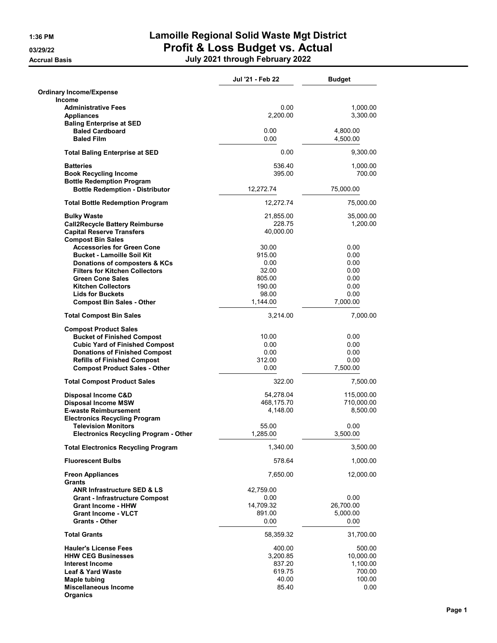|                                                                                    | Jul '21 - Feb 22 | <b>Budget</b>        |
|------------------------------------------------------------------------------------|------------------|----------------------|
| <b>Ordinary Income/Expense</b>                                                     |                  |                      |
| Income                                                                             |                  |                      |
| <b>Administrative Fees</b><br><b>Appliances</b><br><b>Baling Enterprise at SED</b> | 0.00<br>2,200.00 | 1,000.00<br>3,300.00 |
| <b>Baled Cardboard</b><br><b>Baled Film</b>                                        | 0.00<br>0.00     | 4,800.00<br>4,500.00 |
| <b>Total Baling Enterprise at SED</b>                                              | 0.00             | 9,300.00             |
|                                                                                    |                  |                      |
| <b>Batteries</b><br><b>Book Recycling Income</b>                                   | 536.40<br>395.00 | 1,000.00<br>700.00   |
| <b>Bottle Redemption Program</b><br><b>Bottle Redemption - Distributor</b>         | 12,272.74        | 75,000.00            |
| <b>Total Bottle Redemption Program</b>                                             | 12,272.74        | 75,000.00            |
| <b>Bulky Waste</b>                                                                 | 21,855.00        | 35,000.00            |
| <b>Call2Recycle Battery Reimburse</b>                                              | 228.75           | 1,200.00             |
| <b>Capital Reserve Transfers</b>                                                   | 40,000.00        |                      |
| <b>Compost Bin Sales</b>                                                           |                  |                      |
| <b>Accessories for Green Cone</b>                                                  | 30.00            | 0.00                 |
| <b>Bucket - Lamoille Soil Kit</b>                                                  | 915.00           | 0.00                 |
| Donations of composters & KCs                                                      | 0.00             | 0.00                 |
| <b>Filters for Kitchen Collectors</b>                                              | 32.00            | 0.00                 |
| <b>Green Cone Sales</b>                                                            | 805.00           | 0.00                 |
| <b>Kitchen Collectors</b>                                                          | 190.00           | 0.00                 |
| <b>Lids for Buckets</b>                                                            | 98.00            | 0.00                 |
| <b>Compost Bin Sales - Other</b>                                                   | 1,144.00         | 7,000.00             |
| <b>Total Compost Bin Sales</b>                                                     | 3,214.00         | 7,000.00             |
| <b>Compost Product Sales</b>                                                       |                  |                      |
| <b>Bucket of Finished Compost</b>                                                  | 10.00            | 0.00                 |
| <b>Cubic Yard of Finished Compost</b>                                              | 0.00             | 0.00                 |
| <b>Donations of Finished Compost</b>                                               | 0.00             | 0.00                 |
| <b>Refills of Finished Compost</b>                                                 | 312.00           | 0.00                 |
| <b>Compost Product Sales - Other</b>                                               | 0.00             | 7,500.00             |
| <b>Total Compost Product Sales</b>                                                 | 322.00           | 7,500.00             |
| Disposal Income C&D                                                                | 54,278.04        | 115,000.00           |
| <b>Disposal Income MSW</b>                                                         | 468,175.70       | 710,000.00           |
| <b>E-waste Reimbursement</b>                                                       | 4,148.00         | 8,500.00             |
| <b>Electronics Recycling Program</b>                                               |                  |                      |
| <b>Television Monitors</b>                                                         | 55.00            | 0.00                 |
| <b>Electronics Recycling Program - Other</b>                                       | 1,285.00         | 3,500.00             |
| <b>Total Electronics Recycling Program</b>                                         | 1,340.00         | 3,500.00             |
| <b>Fluorescent Bulbs</b>                                                           | 578.64           | 1,000.00             |
| <b>Freon Appliances</b><br><b>Grants</b>                                           | 7,650.00         | 12,000.00            |
| <b>ANR Infrastructure SED &amp; LS</b>                                             | 42,759.00        |                      |
| <b>Grant - Infrastructure Compost</b>                                              | 0.00             | 0.00                 |
| <b>Grant Income - HHW</b>                                                          | 14,709.32        | 26,700.00            |
| <b>Grant Income - VLCT</b>                                                         | 891.00           | 5,000.00             |
| <b>Grants - Other</b>                                                              | 0.00             | 0.00                 |
| <b>Total Grants</b>                                                                | 58,359.32        | 31,700.00            |
| <b>Hauler's License Fees</b>                                                       | 400.00           | 500.00               |
| <b>HHW CEG Businesses</b>                                                          | 3,200.85         | 10,000.00            |
| <b>Interest Income</b>                                                             | 837.20           | 1,100.00             |
| <b>Leaf &amp; Yard Waste</b>                                                       | 619.75           | 700.00               |
| Maple tubing                                                                       | 40.00            | 100.00               |
| <b>Miscellaneous Income</b><br>Organics                                            | 85.40            | 0.00                 |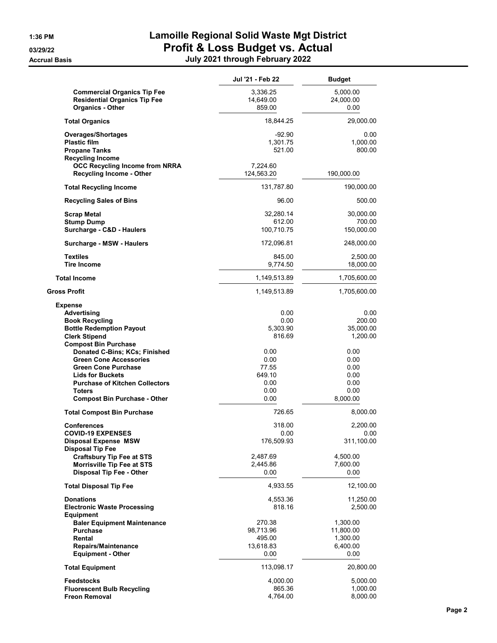|                                                                                                                                                                                                                                                         | Jul '21 - Feb 22                                        | <b>Budget</b>                                            |
|---------------------------------------------------------------------------------------------------------------------------------------------------------------------------------------------------------------------------------------------------------|---------------------------------------------------------|----------------------------------------------------------|
| <b>Commercial Organics Tip Fee</b><br><b>Residential Organics Tip Fee</b><br><b>Organics - Other</b>                                                                                                                                                    | 3,336.25<br>14,649.00<br>859.00                         | 5,000.00<br>24,000.00<br>0.00                            |
| <b>Total Organics</b>                                                                                                                                                                                                                                   | 18,844.25                                               | 29,000.00                                                |
| Overages/Shortages<br><b>Plastic film</b><br><b>Propane Tanks</b><br><b>Recycling Income</b>                                                                                                                                                            | $-92.90$<br>1,301.75<br>521.00                          | 0.00<br>1,000.00<br>800.00                               |
| <b>OCC Recycling Income from NRRA</b><br><b>Recycling Income - Other</b>                                                                                                                                                                                | 7,224.60<br>124,563.20                                  | 190,000.00                                               |
| <b>Total Recycling Income</b>                                                                                                                                                                                                                           | 131,787.80                                              | 190,000.00                                               |
| <b>Recycling Sales of Bins</b>                                                                                                                                                                                                                          | 96.00                                                   | 500.00                                                   |
| <b>Scrap Metal</b><br><b>Stump Dump</b><br>Surcharge - C&D - Haulers                                                                                                                                                                                    | 32,280.14<br>612.00<br>100,710.75                       | 30,000.00<br>700.00<br>150,000.00                        |
| Surcharge - MSW - Haulers                                                                                                                                                                                                                               | 172,096.81                                              | 248,000.00                                               |
| <b>Textiles</b><br><b>Tire Income</b>                                                                                                                                                                                                                   | 845.00<br>9,774.50                                      | 2,500.00<br>18,000.00                                    |
| <b>Total Income</b>                                                                                                                                                                                                                                     | 1,149,513.89                                            | 1,705,600.00                                             |
| Gross Profit                                                                                                                                                                                                                                            | 1,149,513.89                                            | 1,705,600.00                                             |
| <b>Expense</b><br>Advertising<br><b>Book Recycling</b><br><b>Bottle Redemption Payout</b><br><b>Clerk Stipend</b>                                                                                                                                       | 0.00<br>0.00<br>5,303.90<br>816.69                      | 0.00<br>200.00<br>35,000.00<br>1,200.00                  |
| <b>Compost Bin Purchase</b><br>Donated C-Bins; KCs; Finished<br><b>Green Cone Accessories</b><br><b>Green Cone Purchase</b><br><b>Lids for Buckets</b><br><b>Purchase of Kitchen Collectors</b><br><b>Toters</b><br><b>Compost Bin Purchase - Other</b> | 0.00<br>0.00<br>77.55<br>649.10<br>0.00<br>0.00<br>0.00 | 0.00<br>0.00<br>0.00<br>0.00<br>0.00<br>0.00<br>8,000.00 |
| <b>Total Compost Bin Purchase</b>                                                                                                                                                                                                                       | 726.65                                                  | 8,000.00                                                 |
| <b>Conferences</b><br><b>COVID-19 EXPENSES</b><br><b>Disposal Expense MSW</b><br><b>Disposal Tip Fee</b><br>Craftsbury Tip Fee at STS                                                                                                                   | 318.00<br>0.00<br>176,509.93<br>2,487.69                | 2,200.00<br>0.00<br>311,100.00<br>4,500.00               |
| Morrisville Tip Fee at STS<br><b>Disposal Tip Fee - Other</b>                                                                                                                                                                                           | 2,445.86<br>0.00                                        | 7,600.00<br>0.00                                         |
| <b>Total Disposal Tip Fee</b>                                                                                                                                                                                                                           | 4,933.55                                                | 12,100.00                                                |
| <b>Donations</b><br><b>Electronic Waste Processing</b><br><b>Equipment</b>                                                                                                                                                                              | 4,553.36<br>818.16                                      | 11,250.00<br>2,500.00                                    |
| <b>Baler Equipment Maintenance</b><br><b>Purchase</b><br>Rental<br>Repairs/Maintenance<br><b>Equipment - Other</b>                                                                                                                                      | 270.38<br>98,713.96<br>495.00<br>13,618.83<br>0.00      | 1,300.00<br>11,800.00<br>1,300.00<br>6,400.00<br>0.00    |
| <b>Total Equipment</b>                                                                                                                                                                                                                                  | 113,098.17                                              | 20,800.00                                                |
| <b>Feedstocks</b><br><b>Fluorescent Bulb Recycling</b><br><b>Freon Removal</b>                                                                                                                                                                          | 4,000.00<br>865.36<br>4,764.00                          | 5,000.00<br>1,000.00<br>8,000.00                         |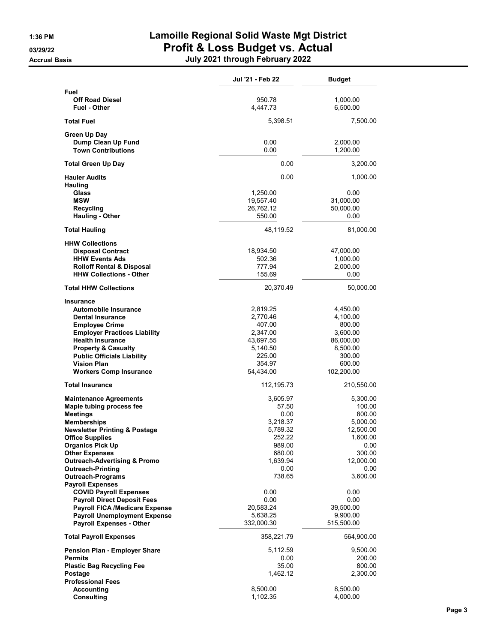|                                                      | Jul '21 - Feb 22    | <b>Budget</b>     |
|------------------------------------------------------|---------------------|-------------------|
| Fuel                                                 |                     |                   |
| <b>Off Road Diesel</b>                               | 950.78              | 1,000.00          |
| <b>Fuel - Other</b>                                  | 4,447.73            | 6,500.00          |
| <b>Total Fuel</b>                                    | 5,398.51            | 7,500.00          |
| Green Up Day                                         |                     |                   |
| Dump Clean Up Fund                                   | 0.00                | 2,000.00          |
| <b>Town Contributions</b>                            | 0.00                | 1,200.00          |
| <b>Total Green Up Day</b>                            | 0.00                | 3,200.00          |
| <b>Hauler Audits</b>                                 | 0.00                | 1,000.00          |
| <b>Hauling</b>                                       |                     |                   |
| Glass                                                | 1,250.00            | 0.00              |
| <b>MSW</b>                                           | 19,557.40           | 31,000.00         |
| <b>Recycling</b><br><b>Hauling - Other</b>           | 26,762.12<br>550.00 | 50,000.00<br>0.00 |
|                                                      |                     |                   |
| <b>Total Hauling</b>                                 | 48,119.52           | 81,000.00         |
| <b>HHW Collections</b><br><b>Disposal Contract</b>   | 18,934.50           | 47,000.00         |
| <b>HHW Events Ads</b>                                | 502.36              | 1,000.00          |
| <b>Rolloff Rental &amp; Disposal</b>                 | 777.94              | 2,000.00          |
| <b>HHW Collections - Other</b>                       | 155.69              | 0.00              |
| <b>Total HHW Collections</b>                         | 20,370.49           | 50,000.00         |
|                                                      |                     |                   |
| <b>Insurance</b><br><b>Automobile Insurance</b>      | 2,819.25            | 4,450.00          |
| <b>Dental Insurance</b>                              | 2,770.46            | 4,100.00          |
| <b>Employee Crime</b>                                | 407.00              | 800.00            |
| <b>Employer Practices Liability</b>                  | 2,347.00            | 3,600.00          |
| <b>Health Insurance</b>                              | 43,697.55           | 86,000.00         |
| <b>Property &amp; Casualty</b>                       | 5,140.50            | 8,500.00          |
| <b>Public Officials Liability</b>                    | 225.00              | 300.00            |
| <b>Vision Plan</b>                                   | 354.97              | 600.00            |
| <b>Workers Comp Insurance</b>                        | 54,434.00           | 102,200.00        |
| <b>Total Insurance</b>                               | 112,195.73          | 210,550.00        |
| <b>Maintenance Agreements</b>                        | 3,605.97            | 5,300.00          |
| Maple tubing process fee                             | 57.50               | 100.00            |
| <b>Meetings</b>                                      | 0.00                | 800.00            |
| <b>Memberships</b>                                   | 3,218.37            | 5,000.00          |
| <b>Newsletter Printing &amp; Postage</b>             | 5,789.32            | 12,500.00         |
| <b>Office Supplies</b>                               | 252.22              | 1,600.00          |
| <b>Organics Pick Up</b>                              | 989.00              | 0.00              |
| <b>Other Expenses</b>                                | 680.00              | 300.00            |
| <b>Outreach-Advertising &amp; Promo</b>              | 1,639.94            | 12,000.00         |
| <b>Outreach-Printing</b><br><b>Outreach-Programs</b> | 0.00<br>738.65      | 0.00<br>3,600.00  |
| <b>Payroll Expenses</b>                              |                     |                   |
| <b>COVID Payroll Expenses</b>                        | 0.00                | 0.00              |
| <b>Payroll Direct Deposit Fees</b>                   | 0.00                | 0.00              |
| <b>Payroll FICA /Medicare Expense</b>                | 20,583.24           | 39,500.00         |
| <b>Payroll Unemployment Expense</b>                  | 5,638.25            | 9,900.00          |
| <b>Payroll Expenses - Other</b>                      | 332,000.30          | 515,500.00        |
| <b>Total Payroll Expenses</b>                        | 358,221.79          | 564,900.00        |
| Pension Plan - Employer Share                        | 5,112.59            | 9,500.00          |
| <b>Permits</b>                                       | 0.00                | 200.00            |
| <b>Plastic Bag Recycling Fee</b>                     | 35.00               | 800.00            |
| Postage                                              | 1,462.12            | 2,300.00          |
| <b>Professional Fees</b>                             |                     |                   |
| Accounting                                           | 8,500.00            | 8,500.00          |
| <b>Consulting</b>                                    | 1,102.35            | 4,000.00          |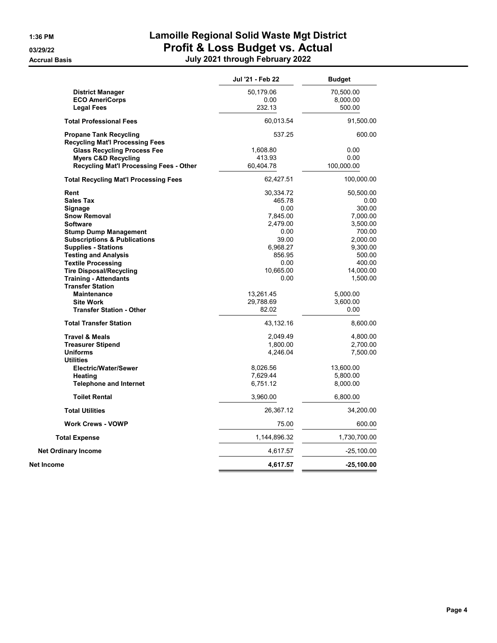|                                              | Jul '21 - Feb 22 | <b>Budget</b> |
|----------------------------------------------|------------------|---------------|
| <b>District Manager</b>                      | 50,179.06        | 70,500.00     |
| <b>ECO AmeriCorps</b>                        | 0.00             | 8,000.00      |
| <b>Legal Fees</b>                            | 232.13           | 500.00        |
| <b>Total Professional Fees</b>               | 60,013.54        | 91,500.00     |
| <b>Propane Tank Recycling</b>                | 537.25           | 600.00        |
| <b>Recycling Mat'l Processing Fees</b>       |                  |               |
| <b>Glass Recycling Process Fee</b>           | 1,608.80         | 0.00          |
| <b>Myers C&amp;D Recycling</b>               | 413.93           | 0.00          |
| Recycling Mat'l Processing Fees - Other      | 60,404.78        | 100,000.00    |
| <b>Total Recycling Mat'l Processing Fees</b> | 62,427.51        | 100,000.00    |
| Rent                                         | 30,334.72        | 50,500.00     |
| <b>Sales Tax</b>                             | 465.78           | 0.00          |
| Signage                                      | 0.00             | 300.00        |
| <b>Snow Removal</b>                          | 7,845.00         | 7,000.00      |
| <b>Software</b>                              | 2,479.00         | 3,500.00      |
| <b>Stump Dump Management</b>                 | 0.00             | 700.00        |
| <b>Subscriptions &amp; Publications</b>      | 39.00            | 2,000.00      |
| <b>Supplies - Stations</b>                   | 6,968.27         | 9,300.00      |
| <b>Testing and Analysis</b>                  | 856.95           | 500.00        |
| <b>Textile Processing</b>                    | 0.00             | 400.00        |
| <b>Tire Disposal/Recycling</b>               | 10,665.00        | 14,000.00     |
| <b>Training - Attendants</b>                 | 0.00             | 1,500.00      |
| <b>Transfer Station</b>                      |                  |               |
| <b>Maintenance</b>                           | 13,261.45        | 5,000.00      |
| <b>Site Work</b>                             | 29,788.69        | 3,600.00      |
| <b>Transfer Station - Other</b>              | 82.02            | 0.00          |
| <b>Total Transfer Station</b>                | 43,132.16        | 8,600.00      |
| <b>Travel &amp; Meals</b>                    | 2,049.49         | 4,800.00      |
| <b>Treasurer Stipend</b>                     | 1,800.00         | 2,700.00      |
| <b>Uniforms</b>                              | 4,246.04         | 7,500.00      |
| <b>Utilities</b>                             |                  |               |
|                                              | 8,026.56         | 13,600.00     |
| Electric/Water/Sewer                         |                  |               |
| Heating                                      | 7,629.44         | 5,800.00      |
| <b>Telephone and Internet</b>                | 6,751.12         | 8,000.00      |
| <b>Toilet Rental</b>                         | 3,960.00         | 6,800.00      |
| <b>Total Utilities</b>                       | 26,367.12        | 34,200.00     |
| <b>Work Crews - VOWP</b>                     | 75.00            | 600.00        |
| <b>Total Expense</b>                         | 1,144,896.32     | 1,730,700.00  |
| <b>Net Ordinary Income</b>                   | 4,617.57         | $-25,100.00$  |
| Net Income                                   | 4,617.57         | $-25,100.00$  |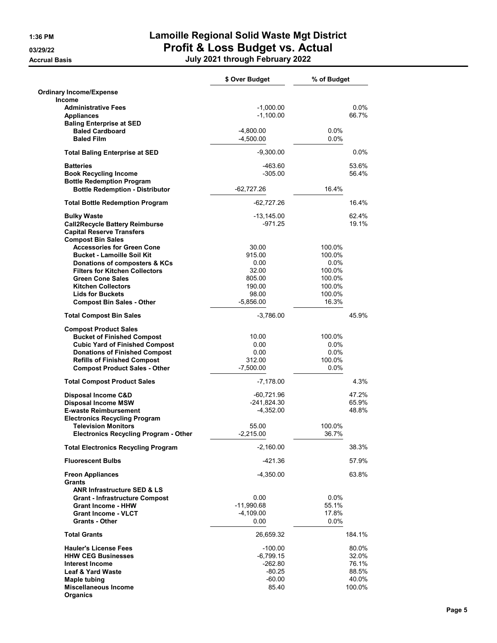|                                                                            | \$ Over Budget              | % of Budget      |
|----------------------------------------------------------------------------|-----------------------------|------------------|
| <b>Ordinary Income/Expense</b>                                             |                             |                  |
| <b>Income</b>                                                              |                             |                  |
| <b>Administrative Fees</b><br><b>Appliances</b>                            | $-1,000.00$<br>$-1,100.00$  | 0.0%<br>66.7%    |
| <b>Baling Enterprise at SED</b>                                            |                             |                  |
| <b>Baled Cardboard</b>                                                     | $-4,800.00$                 | $0.0\%$          |
| <b>Baled Film</b>                                                          | $-4,500.00$                 | $0.0\%$          |
| <b>Total Baling Enterprise at SED</b>                                      | $-9,300.00$                 | $0.0\%$          |
| <b>Batteries</b>                                                           | $-463.60$                   | 53.6%            |
| <b>Book Recycling Income</b>                                               | $-305.00$                   | 56.4%            |
| <b>Bottle Redemption Program</b>                                           |                             |                  |
| <b>Bottle Redemption - Distributor</b>                                     | $-62,727.26$                | 16.4%            |
| <b>Total Bottle Redemption Program</b>                                     | $-62,727.26$                | 16.4%            |
| <b>Bulky Waste</b>                                                         | -13,145.00                  | 62.4%            |
| <b>Call2Recycle Battery Reimburse</b>                                      | -971.25                     | 19.1%            |
| <b>Capital Reserve Transfers</b>                                           |                             |                  |
| <b>Compost Bin Sales</b><br><b>Accessories for Green Cone</b>              | 30.00                       |                  |
| <b>Bucket - Lamoille Soil Kit</b>                                          | 915.00                      | 100.0%<br>100.0% |
| Donations of composters & KCs                                              | 0.00                        | $0.0\%$          |
| <b>Filters for Kitchen Collectors</b>                                      | 32.00                       | 100.0%           |
| <b>Green Cone Sales</b>                                                    | 805.00                      | 100.0%           |
| <b>Kitchen Collectors</b>                                                  | 190.00                      | 100.0%           |
| <b>Lids for Buckets</b>                                                    | 98.00                       | 100.0%           |
| <b>Compost Bin Sales - Other</b>                                           | $-5,856.00$                 | 16.3%            |
| <b>Total Compost Bin Sales</b>                                             | $-3,786.00$                 | 45.9%            |
| <b>Compost Product Sales</b>                                               |                             |                  |
| <b>Bucket of Finished Compost</b>                                          | 10.00                       | 100.0%           |
| <b>Cubic Yard of Finished Compost</b>                                      | 0.00                        | $0.0\%$          |
| <b>Donations of Finished Compost</b>                                       | 0.00<br>312.00              | 0.0%<br>100.0%   |
| <b>Refills of Finished Compost</b><br><b>Compost Product Sales - Other</b> | $-7,500.00$                 | $0.0\%$          |
| <b>Total Compost Product Sales</b>                                         | $-7,178.00$                 | 4.3%             |
|                                                                            |                             |                  |
| Disposal Income C&D<br><b>Disposal Income MSW</b>                          | -60,721.96<br>$-241,824.30$ | 47.2%<br>65.9%   |
| <b>E-waste Reimbursement</b>                                               | $-4,352.00$                 | 48.8%            |
| <b>Electronics Recycling Program</b>                                       |                             |                  |
| <b>Television Monitors</b>                                                 | 55.00                       | 100.0%           |
| <b>Electronics Recycling Program - Other</b>                               | $-2,215.00$                 | 36.7%            |
| <b>Total Electronics Recycling Program</b>                                 | $-2,160.00$                 | 38.3%            |
| <b>Fluorescent Bulbs</b>                                                   | -421.36                     | 57.9%            |
| <b>Freon Appliances</b>                                                    | $-4,350.00$                 | 63.8%            |
| <b>Grants</b>                                                              |                             |                  |
| <b>ANR Infrastructure SED &amp; LS</b>                                     |                             |                  |
| <b>Grant - Infrastructure Compost</b><br><b>Grant Income - HHW</b>         | 0.00<br>$-11,990.68$        | $0.0\%$<br>55.1% |
| <b>Grant Income - VLCT</b>                                                 | $-4,109.00$                 | 17.8%            |
| <b>Grants - Other</b>                                                      | 0.00                        | $0.0\%$          |
| <b>Total Grants</b>                                                        | 26,659.32                   | 184.1%           |
| <b>Hauler's License Fees</b>                                               | $-100.00$                   | 80.0%            |
| <b>HHW CEG Businesses</b>                                                  | -6,799.15                   | 32.0%            |
| Interest Income                                                            | -262.80                     | 76.1%            |
| <b>Leaf &amp; Yard Waste</b>                                               | $-80.25$                    | 88.5%            |
| Maple tubing                                                               | $-60.00$                    | 40.0%            |
| <b>Miscellaneous Income</b><br><b>Organics</b>                             | 85.40                       | 100.0%           |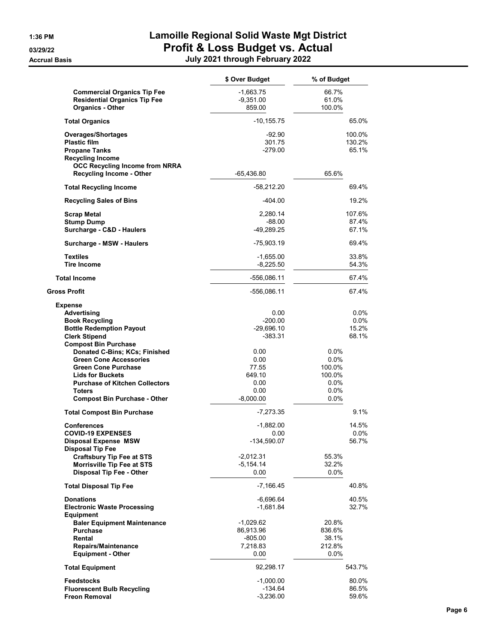|                                                                                                                                                                                                                          | \$ Over Budget                                                 | % of Budget                                                       |
|--------------------------------------------------------------------------------------------------------------------------------------------------------------------------------------------------------------------------|----------------------------------------------------------------|-------------------------------------------------------------------|
| <b>Commercial Organics Tip Fee</b><br><b>Residential Organics Tip Fee</b><br><b>Organics - Other</b>                                                                                                                     | $-1,663.75$<br>$-9,351.00$<br>859.00                           | 66.7%<br>61.0%<br>100.0%                                          |
| <b>Total Organics</b>                                                                                                                                                                                                    | $-10, 155.75$                                                  | 65.0%                                                             |
| Overages/Shortages<br><b>Plastic film</b><br><b>Propane Tanks</b><br><b>Recycling Income</b><br><b>OCC Recycling Income from NRRA</b>                                                                                    | $-92.90$<br>301.75<br>$-279.00$                                | 100.0%<br>130.2%<br>65.1%                                         |
| <b>Recycling Income - Other</b>                                                                                                                                                                                          | $-65,436.80$                                                   | 65.6%                                                             |
| <b>Total Recycling Income</b>                                                                                                                                                                                            | $-58,212.20$                                                   | 69.4%                                                             |
| <b>Recycling Sales of Bins</b>                                                                                                                                                                                           | -404.00                                                        | 19.2%                                                             |
| <b>Scrap Metal</b><br><b>Stump Dump</b><br>Surcharge - C&D - Haulers                                                                                                                                                     | 2,280.14<br>$-88.00$<br>-49,289.25                             | 107.6%<br>87.4%<br>67.1%                                          |
| Surcharge - MSW - Haulers                                                                                                                                                                                                | $-75,903.19$                                                   | 69.4%                                                             |
| <b>Textiles</b><br><b>Tire Income</b>                                                                                                                                                                                    | -1,655.00<br>$-8,225.50$                                       | 33.8%<br>54.3%                                                    |
| <b>Total Income</b>                                                                                                                                                                                                      | -556,086.11                                                    | 67.4%                                                             |
| <b>Gross Profit</b>                                                                                                                                                                                                      | -556,086.11                                                    | 67.4%                                                             |
| <b>Expense</b><br>Advertising<br><b>Book Recycling</b><br><b>Bottle Redemption Payout</b><br><b>Clerk Stipend</b><br><b>Compost Bin Purchase</b>                                                                         | 0.00<br>$-200.00$<br>$-29,696.10$<br>-383.31                   | $0.0\%$<br>$0.0\%$<br>15.2%<br>68.1%                              |
| Donated C-Bins; KCs; Finished<br><b>Green Cone Accessories</b><br><b>Green Cone Purchase</b><br><b>Lids for Buckets</b><br><b>Purchase of Kitchen Collectors</b><br><b>Toters</b><br><b>Compost Bin Purchase - Other</b> | 0.00<br>0.00<br>77.55<br>649.10<br>0.00<br>0.00<br>$-8,000.00$ | $0.0\%$<br>0.0%<br>100.0%<br>100.0%<br>$0.0\%$<br>$0.0\%$<br>0.0% |
| <b>Total Compost Bin Purchase</b>                                                                                                                                                                                        | -7,273.35                                                      | 9.1%                                                              |
| <b>Conferences</b><br><b>COVID-19 EXPENSES</b><br><b>Disposal Expense MSW</b><br><b>Disposal Tip Fee</b>                                                                                                                 | $-1.882.00$<br>0.00<br>-134,590.07                             | 14.5%<br>0.0%<br>56.7%                                            |
| Craftsbury Tip Fee at STS<br>Morrisville Tip Fee at STS<br><b>Disposal Tip Fee - Other</b>                                                                                                                               | $-2,012.31$<br>$-5,154.14$<br>0.00                             | 55.3%<br>32.2%<br>$0.0\%$                                         |
| <b>Total Disposal Tip Fee</b>                                                                                                                                                                                            | $-7,166.45$                                                    | 40.8%                                                             |
| <b>Donations</b><br><b>Electronic Waste Processing</b><br><b>Equipment</b>                                                                                                                                               | -6,696.64<br>-1,681.84                                         | 40.5%<br>32.7%                                                    |
| <b>Baler Equipment Maintenance</b><br><b>Purchase</b><br>Rental<br>Repairs/Maintenance<br><b>Equipment - Other</b>                                                                                                       | -1,029.62<br>86,913.96<br>$-805.00$<br>7,218.83<br>0.00        | 20.8%<br>836.6%<br>38.1%<br>212.8%<br>$0.0\%$                     |
| <b>Total Equipment</b>                                                                                                                                                                                                   | 92,298.17                                                      | 543.7%                                                            |
| <b>Feedstocks</b><br><b>Fluorescent Bulb Recycling</b><br><b>Freon Removal</b>                                                                                                                                           | $-1,000.00$<br>$-134.64$<br>$-3,236.00$                        | 80.0%<br>86.5%<br>59.6%                                           |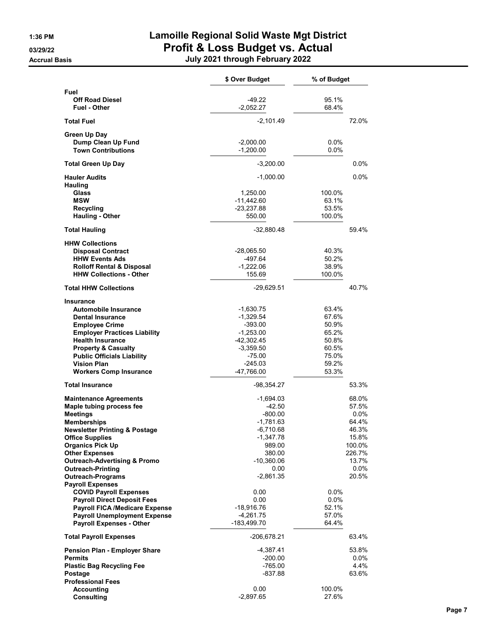|                                                          | \$ Over Budget          | % of Budget    |
|----------------------------------------------------------|-------------------------|----------------|
| Fuel                                                     |                         |                |
| <b>Off Road Diesel</b>                                   | $-49.22$                | 95.1%<br>68.4% |
| <b>Fuel - Other</b>                                      | $-2,052.27$             |                |
| <b>Total Fuel</b>                                        | $-2,101.49$             | 72.0%          |
| Green Up Day                                             |                         |                |
| Dump Clean Up Fund                                       | $-2,000.00$             | $0.0\%$        |
| <b>Town Contributions</b>                                | $-1,200.00$             | $0.0\%$        |
| <b>Total Green Up Day</b>                                | $-3,200.00$             | 0.0%           |
| <b>Hauler Audits</b>                                     | $-1,000.00$             | 0.0%           |
| Hauling                                                  |                         |                |
| Glass                                                    | 1,250.00                | 100.0%         |
| <b>MSW</b>                                               | -11,442.60              | 63.1%          |
| <b>Recycling</b>                                         | $-23,237.88$            | 53.5%          |
| Hauling - Other                                          | 550.00                  | 100.0%         |
| <b>Total Hauling</b>                                     | -32,880.48              | 59.4%          |
| <b>HHW Collections</b>                                   |                         |                |
| <b>Disposal Contract</b>                                 | $-28,065.50$            | 40.3%          |
| <b>HHW Events Ads</b>                                    | -497.64                 | 50.2%          |
| <b>Rolloff Rental &amp; Disposal</b>                     | $-1,222.06$             | 38.9%          |
| <b>HHW Collections - Other</b>                           | 155.69                  | 100.0%         |
| <b>Total HHW Collections</b>                             | $-29,629.51$            | 40.7%          |
| Insurance                                                |                         |                |
| <b>Automobile Insurance</b>                              | $-1,630.75$             | 63.4%          |
| <b>Dental Insurance</b>                                  | $-1,329.54$             | 67.6%          |
| <b>Employee Crime</b>                                    | $-393.00$               | 50.9%          |
| <b>Employer Practices Liability</b>                      | $-1,253.00$             | 65.2%          |
| <b>Health Insurance</b>                                  | -42,302.45              | 50.8%          |
| <b>Property &amp; Casualty</b>                           | $-3,359.50$             | 60.5%          |
| <b>Public Officials Liability</b>                        | -75.00                  | 75.0%          |
| <b>Vision Plan</b><br><b>Workers Comp Insurance</b>      | $-245.03$<br>-47,766.00 | 59.2%<br>53.3% |
|                                                          |                         |                |
| <b>Total Insurance</b>                                   | -98,354.27              | 53.3%          |
| <b>Maintenance Agreements</b>                            | -1,694.03               | 68.0%          |
| Maple tubing process fee                                 | $-42.50$                | 57.5%          |
| <b>Meetings</b>                                          | $-800.00$               | $0.0\%$        |
| <b>Memberships</b>                                       | -1,781.63               | 64.4%          |
| <b>Newsletter Printing &amp; Postage</b>                 | -6,710.68               | 46.3%          |
| Office Supplies                                          | -1,347.78               | 15.8%          |
| <b>Organics Pick Up</b>                                  | 989.00                  | 100.0%         |
| <b>Other Expenses</b>                                    | 380.00                  | 226.7%         |
| <b>Outreach-Advertising &amp; Promo</b>                  | -10,360.06              | 13.7%          |
| <b>Outreach-Printing</b>                                 | 0.00                    | 0.0%           |
| <b>Outreach-Programs</b>                                 | -2,861.35               | 20.5%          |
| <b>Payroll Expenses</b><br><b>COVID Payroll Expenses</b> | 0.00                    | 0.0%           |
| <b>Payroll Direct Deposit Fees</b>                       | 0.00                    | 0.0%           |
| <b>Payroll FICA /Medicare Expense</b>                    | $-18,916.76$            | 52.1%          |
| <b>Payroll Unemployment Expense</b>                      | $-4,261.75$             | 57.0%          |
| <b>Payroll Expenses - Other</b>                          | -183,499.70             | 64.4%          |
|                                                          |                         |                |
| <b>Total Payroll Expenses</b>                            | -206,678.21             | 63.4%          |
| <b>Pension Plan - Employer Share</b>                     | -4,387.41               | 53.8%          |
| <b>Permits</b>                                           | $-200.00$               | $0.0\%$        |
| <b>Plastic Bag Recycling Fee</b>                         | $-765.00$               | 4.4%           |
| Postage                                                  | $-837.88$               | 63.6%          |
| <b>Professional Fees</b><br>Accounting                   | 0.00                    | 100.0%         |
| Consulting                                               | $-2,897.65$             | 27.6%          |
|                                                          |                         |                |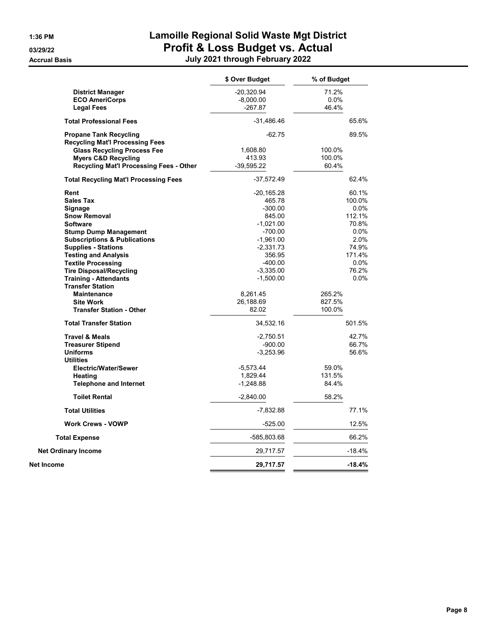|                                                         | \$ Over Budget | % of Budget |
|---------------------------------------------------------|----------------|-------------|
| <b>District Manager</b>                                 | $-20,320.94$   | 71.2%       |
| <b>ECO AmeriCorps</b>                                   | $-8,000.00$    | $0.0\%$     |
| <b>Legal Fees</b>                                       | $-267.87$      | 46.4%       |
| <b>Total Professional Fees</b>                          | -31,486.46     | 65.6%       |
| <b>Propane Tank Recycling</b>                           | $-62.75$       | 89.5%       |
| <b>Recycling Mat'l Processing Fees</b>                  |                |             |
| <b>Glass Recycling Process Fee</b>                      | 1,608.80       | 100.0%      |
| <b>Myers C&amp;D Recycling</b>                          | 413.93         | 100.0%      |
| <b>Recycling Mat'l Processing Fees - Other</b>          | $-39,595.22$   | 60.4%       |
| <b>Total Recycling Mat'l Processing Fees</b>            | $-37,572.49$   | 62.4%       |
| Rent                                                    | $-20,165.28$   | 60.1%       |
| <b>Sales Tax</b>                                        | 465.78         | 100.0%      |
| Signage                                                 | $-300.00$      | $0.0\%$     |
| <b>Snow Removal</b>                                     | 845.00         | 112.1%      |
| <b>Software</b>                                         | $-1,021.00$    | 70.8%       |
| <b>Stump Dump Management</b>                            | $-700.00$      | $0.0\%$     |
| <b>Subscriptions &amp; Publications</b>                 | $-1,961.00$    | 2.0%        |
| <b>Supplies - Stations</b>                              | $-2,331.73$    | 74.9%       |
| <b>Testing and Analysis</b>                             | 356.95         | 171.4%      |
| <b>Textile Processing</b>                               | $-400.00$      | $0.0\%$     |
| <b>Tire Disposal/Recycling</b>                          | $-3,335.00$    | 76.2%       |
| <b>Training - Attendants</b><br><b>Transfer Station</b> | $-1,500.00$    | 0.0%        |
| <b>Maintenance</b>                                      | 8,261.45       | 265.2%      |
| <b>Site Work</b>                                        | 26,188.69      | 827.5%      |
| <b>Transfer Station - Other</b>                         | 82.02          | 100.0%      |
| <b>Total Transfer Station</b>                           | 34,532.16      | 501.5%      |
| <b>Travel &amp; Meals</b>                               | $-2,750.51$    | 42.7%       |
| <b>Treasurer Stipend</b>                                | $-900.00$      | 66.7%       |
| <b>Uniforms</b>                                         | $-3,253.96$    | 56.6%       |
| <b>Utilities</b>                                        |                |             |
| Electric/Water/Sewer                                    | $-5,573.44$    | 59.0%       |
| Heating                                                 | 1,829.44       | 131.5%      |
| <b>Telephone and Internet</b>                           | $-1,248.88$    | 84.4%       |
| <b>Toilet Rental</b>                                    | $-2,840.00$    | 58.2%       |
| <b>Total Utilities</b>                                  | -7,832.88      | 77.1%       |
| <b>Work Crews - VOWP</b>                                | $-525.00$      | 12.5%       |
| <b>Total Expense</b>                                    | -585,803.68    | 66.2%       |
| <b>Net Ordinary Income</b>                              | 29,717.57      | $-18.4%$    |
| Net Income                                              | 29,717.57      | $-18.4%$    |